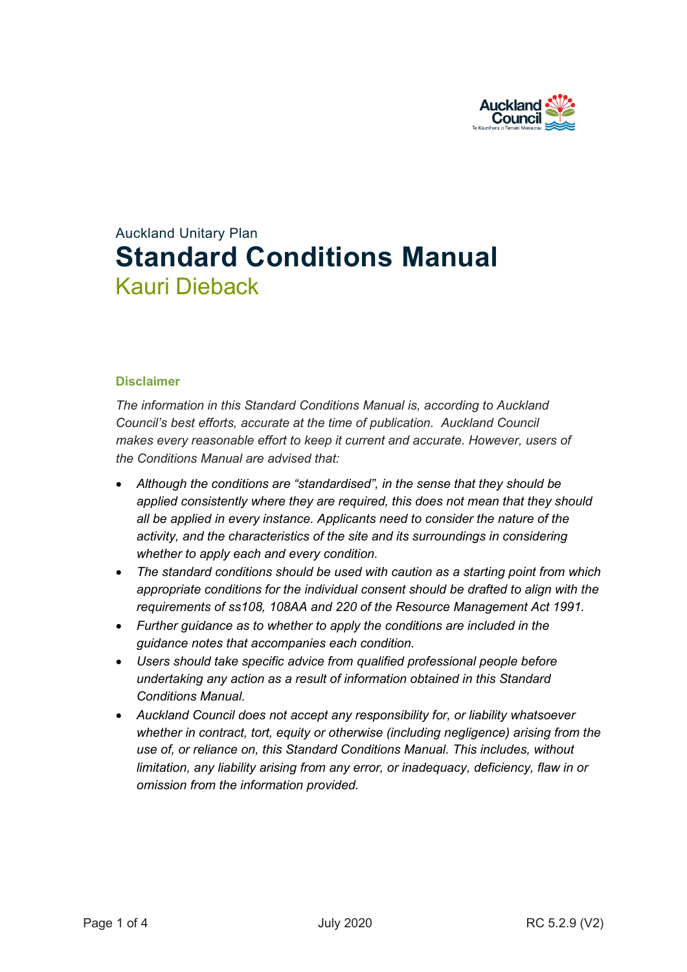

# Auckland Unitary Plan **Standard Conditions Manual** Kauri Dieback

#### **Disclaimer**

*The information in this Standard Conditions Manual is, according to Auckland Council's best efforts, accurate at the time of publication. Auckland Council makes every reasonable effort to keep it current and accurate. However, users of the Conditions Manual are advised that:* 

- *Although the conditions are "standardised", in the sense that they should be applied consistently where they are required, this does not mean that they should all be applied in every instance. Applicants need to consider the nature of the activity, and the characteristics of the site and its surroundings in considering whether to apply each and every condition.*
- *The standard conditions should be used with caution as a starting point from which appropriate conditions for the individual consent should be drafted to align with the requirements of ss108, 108AA and 220 of the Resource Management Act 1991.*
- *Further guidance as to whether to apply the conditions are included in the guidance notes that accompanies each condition.*
- *Users should take specific advice from qualified professional people before undertaking any action as a result of information obtained in this Standard Conditions Manual.*
- *Auckland Council does not accept any responsibility for, or liability whatsoever whether in contract, tort, equity or otherwise (including negligence) arising from the use of, or reliance on, this Standard Conditions Manual. This includes, without limitation, any liability arising from any error, or inadequacy, deficiency, flaw in or omission from the information provided.*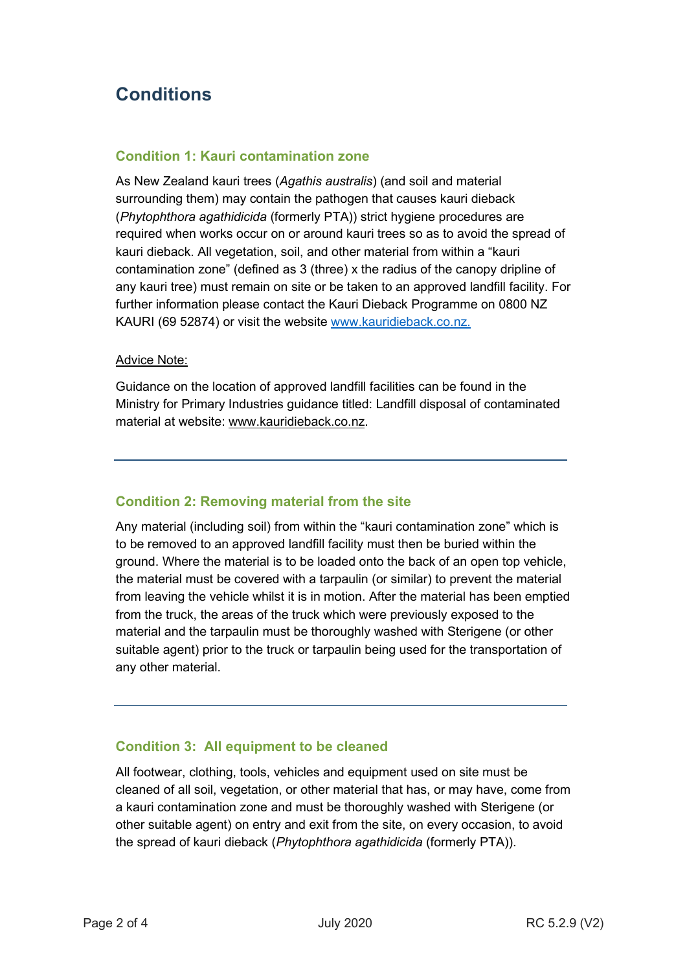# **Conditions**

#### **Condition 1: Kauri contamination zone**

As New Zealand kauri trees (*Agathis australis*) (and soil and material surrounding them) may contain the pathogen that causes kauri dieback (*Phytophthora agathidicida* (formerly PTA)) strict hygiene procedures are required when works occur on or around kauri trees so as to avoid the spread of kauri dieback. All vegetation, soil, and other material from within a "kauri contamination zone" (defined as 3 (three) x the radius of the canopy dripline of any kauri tree) must remain on site or be taken to an approved landfill facility. For further information please contact the Kauri Dieback Programme on 0800 NZ KAURI (69 52874) or visit the website [www.kauridieback.co.nz.](http://www.kauridieback.co.nz/)

#### Advice Note:

Guidance on the location of approved landfill facilities can be found in the Ministry for Primary Industries guidance titled: Landfill disposal of contaminated material at website: [www.kauridieback.co.nz.](http://www.kauridieback.co.nz/)

## **Condition 2: Removing material from the site**

Any material (including soil) from within the "kauri contamination zone" which is to be removed to an approved landfill facility must then be buried within the ground. Where the material is to be loaded onto the back of an open top vehicle, the material must be covered with a tarpaulin (or similar) to prevent the material from leaving the vehicle whilst it is in motion. After the material has been emptied from the truck, the areas of the truck which were previously exposed to the material and the tarpaulin must be thoroughly washed with Sterigene (or other suitable agent) prior to the truck or tarpaulin being used for the transportation of any other material.

## **Condition 3: All equipment to be cleaned**

All footwear, clothing, tools, vehicles and equipment used on site must be cleaned of all soil, vegetation, or other material that has, or may have, come from a kauri contamination zone and must be thoroughly washed with Sterigene (or other suitable agent) on entry and exit from the site, on every occasion, to avoid the spread of kauri dieback (*Phytophthora agathidicida* (formerly PTA)).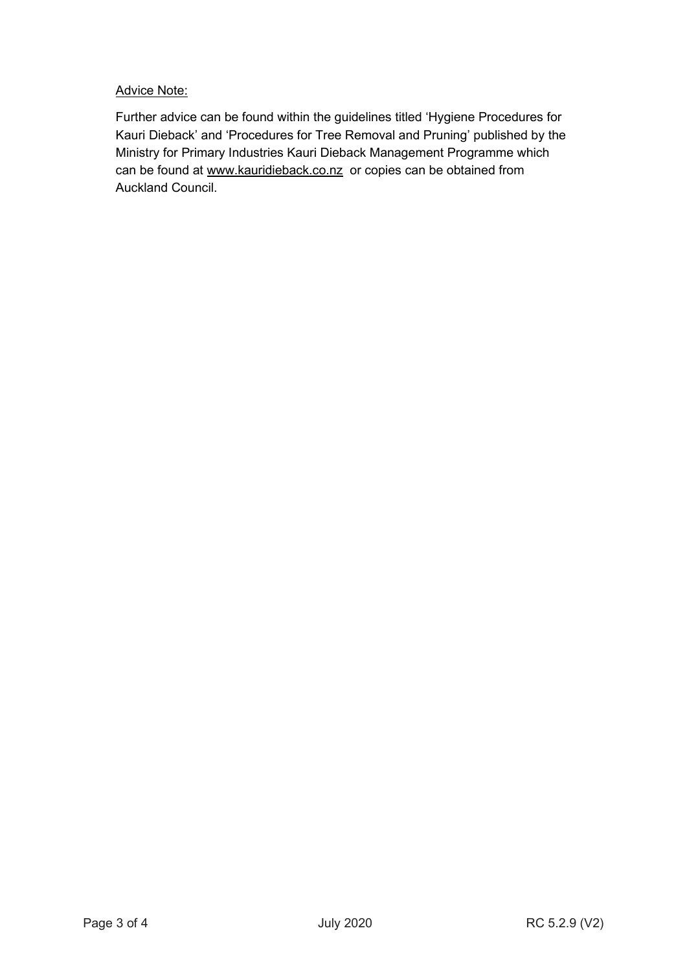#### Advice Note:

Further advice can be found within the guidelines titled 'Hygiene Procedures for Kauri Dieback' and 'Procedures for Tree Removal and Pruning' published by the Ministry for Primary Industries Kauri Dieback Management Programme which can be found at [www.kauridieback.co.nz](http://www.kauridieback.co.nz/) or copies can be obtained from Auckland Council.